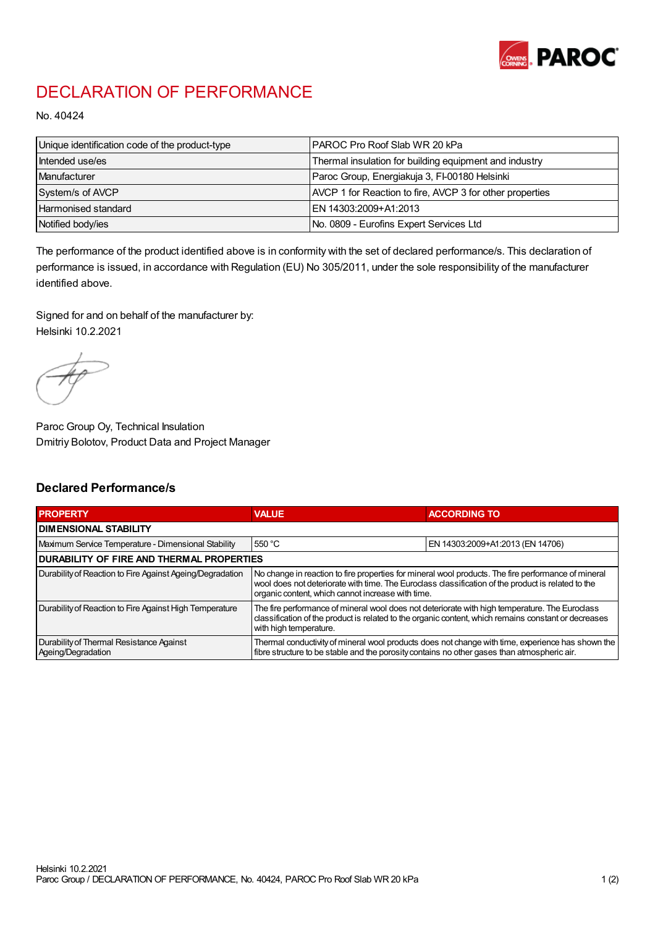

## DECLARATION OF PERFORMANCE

No. 40424

| Unique identification code of the product-type | I PAROC Pro Roof Slab WR 20 kPa                          |
|------------------------------------------------|----------------------------------------------------------|
| Intended use/es                                | Thermal insulation for building equipment and industry   |
| Manufacturer                                   | Paroc Group, Energiakuja 3, FI-00180 Helsinki            |
| System/s of AVCP                               | AVCP 1 for Reaction to fire, AVCP 3 for other properties |
| Harmonised standard                            | IEN 14303:2009+A1:2013                                   |
| Notified body/ies                              | No. 0809 - Eurofins Expert Services Ltd                  |

The performance of the product identified above is in conformity with the set of declared performance/s. This declaration of performance is issued, in accordance with Regulation (EU) No 305/2011, under the sole responsibility of the manufacturer identified above.

Signed for and on behalf of the manufacturer by: Helsinki 10.2.2021

Paroc Group Oy, Technical Insulation Dmitriy Bolotov, Product Data and Project Manager

## Declared Performance/s

| <b>PROPERTY</b>                                                | <b>VALUE</b>                                                                                                                                                                                                                                                   | <b>ACCORDING TO</b>              |  |
|----------------------------------------------------------------|----------------------------------------------------------------------------------------------------------------------------------------------------------------------------------------------------------------------------------------------------------------|----------------------------------|--|
| <b>DIMENSIONAL STABILITY</b>                                   |                                                                                                                                                                                                                                                                |                                  |  |
| Maximum Service Temperature - Dimensional Stability            | 550 °C                                                                                                                                                                                                                                                         | EN 14303:2009+A1:2013 (EN 14706) |  |
| <b>DURABILITY OF FIRE AND THERMAL PROPERTIES</b>               |                                                                                                                                                                                                                                                                |                                  |  |
| Durability of Reaction to Fire Against Ageing/Degradation      | No change in reaction to fire properties for mineral wool products. The fire performance of mineral<br>wool does not deteriorate with time. The Euroclass classification of the product is related to the<br>organic content, which cannot increase with time. |                                  |  |
| Durability of Reaction to Fire Against High Temperature        | The fire performance of mineral wool does not deteriorate with high temperature. The Euroclass<br>classification of the product is related to the organic content, which remains constant or decreases<br>with high temperature.                               |                                  |  |
| Durability of Thermal Resistance Against<br>Ageing/Degradation | Thermal conductivity of mineral wool products does not change with time, experience has shown the<br>fibre structure to be stable and the porosity contains no other gases than atmospheric air.                                                               |                                  |  |